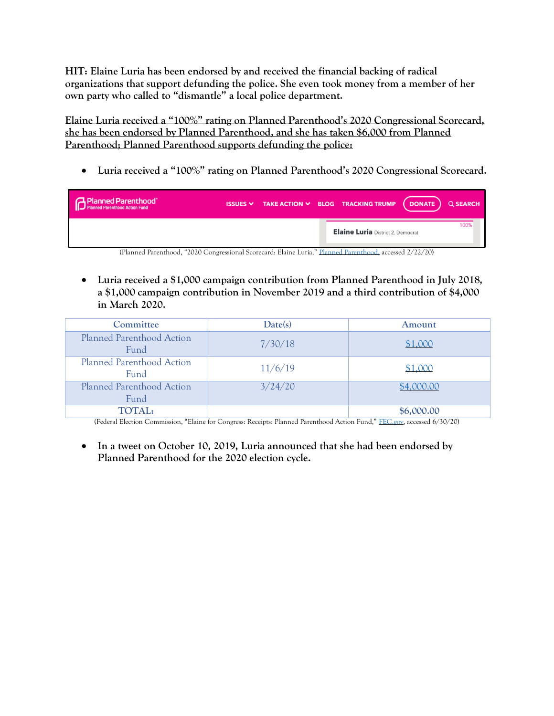**HIT: Elaine Luria has been endorsed by and received the financial backing of radical organizations that support defunding the police. She even took money from a member of her own party who called to "dismantle" a local police department.**

**Elaine Luria received a "100%" rating on Planned Parenthood's 2020 Congressional Scorecard, she has been endorsed by Planned Parenthood, and she has taken \$6,000 from Planned Parenthood; Planned Parenthood supports defunding the police:** 

• **Luria received a "100%" rating on Planned Parenthood's 2020 Congressional Scorecard.**

| Planned Parenthood <sup>®</sup><br>Planned Parenthood Action Fund |  | ISSUES $\vee$ TAKE ACTION $\vee$ BLOG TRACKING TRUMP $($ DONATE $)$ Q SEARCH |      |
|-------------------------------------------------------------------|--|------------------------------------------------------------------------------|------|
|                                                                   |  | <b>Elaine Luria</b> District 2, Democrat                                     | 100% |

(Planned Parenthood, "2020 Congressional Scorecard: Elaine Luria," [Planned Parenthood,](https://www.plannedparenthoodaction.org/congressional-scorecard#VA/) accessed 2/22/20)

• **Luria received a \$1,000 campaign contribution from Planned Parenthood in July 2018, a \$1,000 campaign contribution in November 2019 and a third contribution of \$4,000 in March 2020.** 

| Committee                                | Date(s) | Amount     |
|------------------------------------------|---------|------------|
| Planned Parenthood Action<br><b>Fund</b> | 7/30/18 | \$1,000    |
| Planned Parenthood Action<br><b>Fund</b> | 11/6/19 | \$1,000    |
| Planned Parenthood Action<br>Fund        | 3/24/20 | \$4,000.00 |
| <b>TOTAL:</b>                            |         | \$6,000.00 |

(Federal Election Commission, "Elaine for Congress: Receipts: Planned Parenthood Action Fund," [FEC.gov,](https://www.fec.gov/data/receipts/?data_type=processed&committee_id=C00664375&contributor_name=Planned+Parenthood&two_year_transaction_period=2018&two_year_transaction_period=2020) accessed 6/30/20)

• **In a tweet on October 10, 2019, Luria announced that she had been endorsed by Planned Parenthood for the 2020 election cycle.**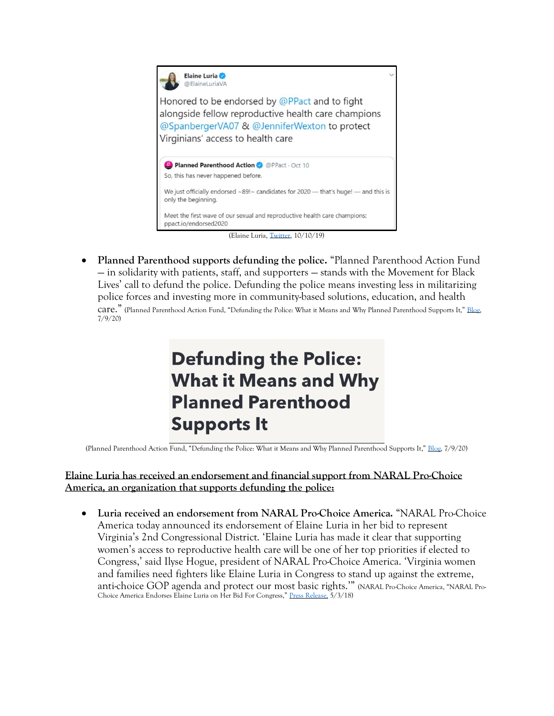

• **Planned Parenthood supports defunding the police.** "Planned Parenthood Action Fund — in solidarity with patients, staff, and supporters — stands with the Movement for Black Lives' call to defund the police. Defunding the police means investing less in militarizing police forces and investing more in community-based solutions, education, and health care." (Planned Parenthood Action Fund, "Defunding the Police: What it Means and Why Planned Parenthood Supports It," [Blog,](https://www.plannedparenthoodaction.org/blog/defunding-the-police-what-it-means-and-why-planned-parenthood-supports-it) 7/9/20)

# **Defunding the Police: What it Means and Why Planned Parenthood Supports It**

(Planned Parenthood Action Fund, "Defunding the Police: What it Means and Why Planned Parenthood Supports It," [Blog,](https://www.plannedparenthoodaction.org/blog/defunding-the-police-what-it-means-and-why-planned-parenthood-supports-it) 7/9/20)

#### **Elaine Luria has received an endorsement and financial support from NARAL Pro-Choice America, an organization that supports defunding the police:**

• **Luria received an endorsement from NARAL Pro-Choice America.** "NARAL Pro-Choice America today announced its endorsement of Elaine Luria in her bid to represent Virginia's 2nd Congressional District. 'Elaine Luria has made it clear that supporting women's access to reproductive health care will be one of her top priorities if elected to Congress,' said Ilyse Hogue, president of NARAL Pro-Choice America. 'Virginia women and families need fighters like Elaine Luria in Congress to stand up against the extreme, anti-choice GOP agenda and protect our most basic rights.'" (NARAL Pro-Choice America, "NARAL Pro-Choice America Endorses Elaine Luria on Her Bid For Congress," [Press Release,](https://www.prochoiceamerica.org/2018/05/03/naral-pro-choice-america-endorses-elaine-luria-for-congress/) 5/3/18)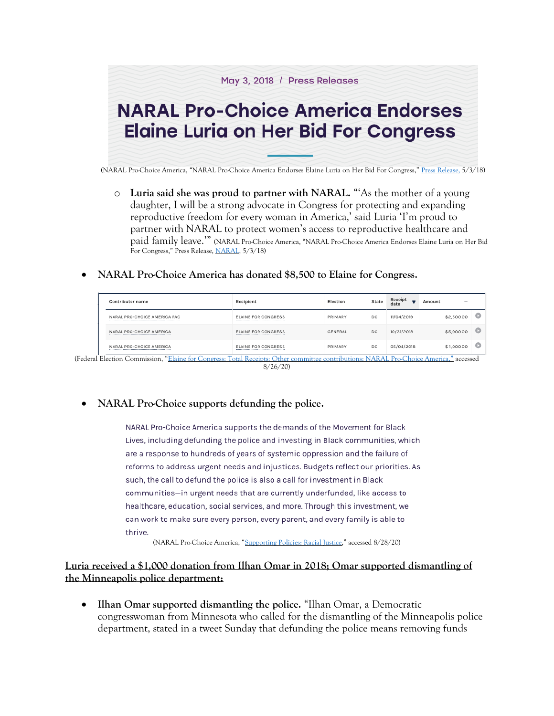

- o **Luria said she was proud to partner with NARAL.** "'As the mother of a young daughter, I will be a strong advocate in Congress for protecting and expanding reproductive freedom for every woman in America,' said Luria 'I'm proud to partner with NARAL to protect women's access to reproductive healthcare and paid family leave.'" (NARAL Pro-Choice America, "NARAL Pro-Choice America Endorses Elaine Luria on Her Bid For Congress," Press Release, [NARAL,](https://www.prochoiceamerica.org/2018/05/03/naral-pro-choice-america-endorses-elaine-luria-for-congress/) 5/3/18)
- **NARAL Pro-Choice America has donated \$8,500 to Elaine for Congress.**

| DC<br>NARAL PRO-CHOICE AMERICA PAC<br><b>ELAINE FOR CONGRESS</b><br>PRIMARY | 11/04/2019 | \$2,500.00 |  |
|-----------------------------------------------------------------------------|------------|------------|--|
|                                                                             |            |            |  |
| DC<br>NARAL PRO-CHOICE AMERICA<br>GENERAL<br><b>ELAINE FOR CONGRESS</b>     | 10/31/2018 | \$5,000.00 |  |
| DC<br>NARAL PRO-CHOICE AMERICA<br><b>ELAINE FOR CONGRESS</b><br>PRIMARY     | 06/04/2018 | \$1,000.00 |  |

8/26/20)

#### • **NARAL Pro-Choice supports defunding the police.**

NARAL Pro-Choice America supports the demands of the Movement for Black Lives, including defunding the police and investing in Black communities, which are a response to hundreds of years of systemic oppression and the failure of reforms to address urgent needs and injustices. Budgets reflect our priorities. As such, the call to defund the police is also a call for investment in Black communities-in urgent needs that are currently underfunded, like access to healthcare, education, social services, and more. Through this investment, we can work to make sure every person, every parent, and every family is able to thrive.

(NARAL Pro-Choice America, "[Supporting Policies: Racial Justice](https://www.prochoiceamerica.org/about/supporting-policies/racial-justice/)," accessed 8/28/20)

**Luria received a \$1,000 donation from Ilhan Omar in 2018; Omar supported dismantling of the Minneapolis police department:** 

• **Ilhan Omar supported dismantling the police.** "Ilhan Omar, a Democratic congresswoman from Minnesota who called for the dismantling of the Minneapolis police department, stated in a tweet Sunday that defunding the police means removing funds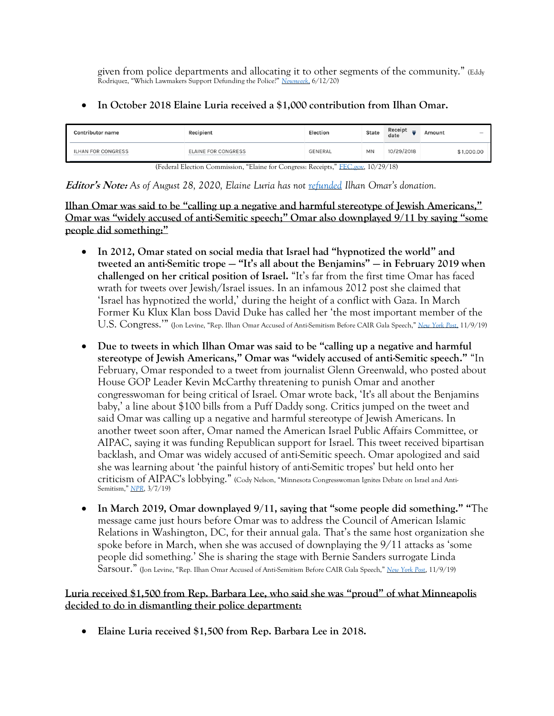given from police departments and allocating it to other segments of the community." (Eddy Rodriquez, "Which Lawmakers Support Defunding the Police?" *[Newsweek](https://www.newsweek.com/which-lawmakers-support-defunding-police-1510556)*[,](https://www.newsweek.com/which-lawmakers-support-defunding-police-1510556) 6/12/20)

### • **In October 2018 Elaine Luria received a \$1,000 contribution from Ilhan Omar.**

| <b>Contributor name</b> | Recipient                                                                                                                                                                                                                                                                                                                                                                                                                                                                     | <b>Election</b> | <b>State</b> | Receipt<br>date | Amount | $\sim$     |
|-------------------------|-------------------------------------------------------------------------------------------------------------------------------------------------------------------------------------------------------------------------------------------------------------------------------------------------------------------------------------------------------------------------------------------------------------------------------------------------------------------------------|-----------------|--------------|-----------------|--------|------------|
| ILHAN FOR CONGRESS      | <b>ELAINE FOR CONGRESS</b>                                                                                                                                                                                                                                                                                                                                                                                                                                                    | <b>GENERAL</b>  | MN           | 10/29/2018      |        | \$1,000.00 |
| $\sqrt{ }$              | $1 \text{ } \square$ $1 \text{ } \square$ $1 \text{ } \square$ $1 \text{ } \square$ $1 \text{ } \square$ $1 \text{ } \square$ $1 \text{ } \square$ $1 \text{ } \square$ $1 \text{ } \square$ $1 \text{ } \square$ $1 \text{ } \square$ $1 \text{ } \square$ $1 \text{ } \square$ $1 \text{ } \square$ $1 \text{ } \square$ $1 \text{ } \square$ $1 \text{ } \square$ $1 \text{ } \square$ $1 \text{ } \square$ $1 \text{ } \square$ $1 \text{ } \square$ $1 \text{ } \square$ |                 | 10/20/10     |                 |        |            |

(Federal Election Commission, "Elaine for Congress: Receipts," [FEC.gov,](https://www.fec.gov/data/receipts/?data_type=processed&committee_id=C00664375&contributor_name=C00680934&two_year_transaction_period=2018&line_number=F3-11C) 10/29/18)

**Editor's Note:** *As of August 28, 2020, Elaine Luria has not [refunded](https://www.fec.gov/data/disbursements/?cycle=2020&data_type=processed&committee_id=C00664375&two_year_transaction_period=2018&two_year_transaction_period=2020&line_number=F3-20C) Ilhan Omar's donation.* 

**Ilhan Omar was said to be "calling up a negative and harmful stereotype of Jewish Americans," Omar was "widely accused of anti-Semitic speech;" Omar also downplayed 9/11 by saying "some people did something:"** 

- **In 2012, Omar stated on social media that Israel had "hypnotized the world" and tweeted an anti-Semitic trope — "It's all about the Benjamins" — in February 2019 when challenged on her critical position of Israel.** "It's far from the first time Omar has faced wrath for tweets over Jewish/Israel issues. In an infamous 2012 post she claimed that 'Israel has hypnotized the world,' during the height of a conflict with Gaza. In March Former Ku Klux Klan boss David Duke has called her 'the most important member of the U.S. Congress.'" (Jon Levine, "Rep. Ilhan Omar Accused of Anti-Semitism Before CAIR Gala Speech," *[New York Post](https://nypost.com/2019/11/09/rep-ilhan-omar-accused-of-anti-semitism-before-cair-gala-speech/)*, 11/9/19)
- **Due to tweets in which Ilhan Omar was said to be "calling up a negative and harmful stereotype of Jewish Americans," Omar was "widely accused of anti-Semitic speech."** "In February, Omar responded to a tweet from journalist Glenn Greenwald, who posted about House GOP Leader Kevin McCarthy threatening to punish Omar and another congresswoman for being critical of Israel. Omar wrote back, 'It's all about the Benjamins baby,' a line about \$100 bills from a Puff Daddy song. Critics jumped on the tweet and said Omar was calling up a negative and harmful stereotype of Jewish Americans. In another tweet soon after, Omar named the American Israel Public Affairs Committee, or AIPAC, saying it was funding Republican support for Israel. This tweet received bipartisan backlash, and Omar was widely accused of anti-Semitic speech. Omar apologized and said she was learning about 'the painful history of anti-Semitic tropes' but held onto her criticism of AIPAC's lobbying." (Cody Nelson, "Minnesota Congresswoman Ignites Debate on Israel and Anti-Semitism," *[NPR](https://www.npr.org/2019/03/07/700901834/minnesota-congresswoman-ignites-debate-on-israel-and-anti-semitism)*, 3/7/19)
- **In March 2019, Omar downplayed 9/11, saying that "some people did something." "**The message came just hours before Omar was to address the Council of American Islamic Relations in Washington, DC, for their annual gala. That's the same host organization she spoke before in March, when she was accused of downplaying the 9/11 attacks as 'some people did something.' She is sharing the stage with Bernie Sanders surrogate Linda Sarsour." (Jon Levine, "Rep. Ilhan Omar Accused of Anti-Semitism Before CAIR Gala Speech," *[New York Post](https://nypost.com/2019/11/09/rep-ilhan-omar-accused-of-anti-semitism-before-cair-gala-speech/)*, 11/9/19)

## **Luria received \$1,500 from Rep. Barbara Lee, who said she was "proud" of what Minneapolis decided to do in dismantling their police department:**

• **Elaine Luria received \$1,500 from Rep. Barbara Lee in 2018.**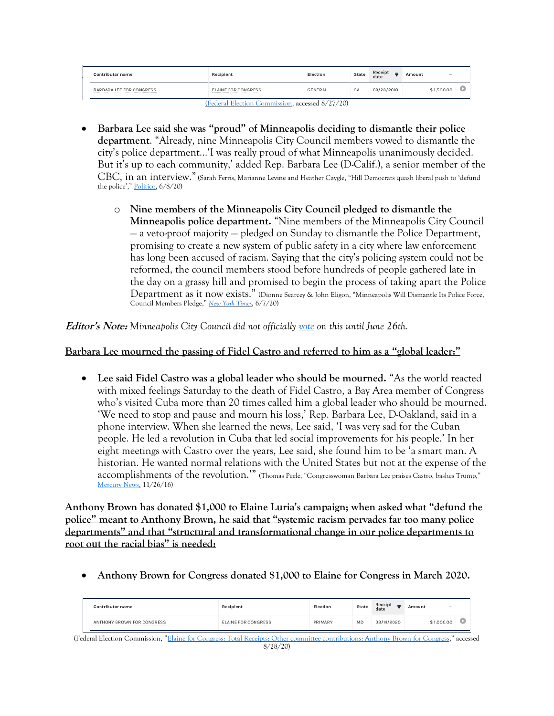| Contributor name         | Recipient           | Election | State | Receipt<br>date | Amount<br><b>STATE</b> |  |
|--------------------------|---------------------|----------|-------|-----------------|------------------------|--|
| BARBARA LEE FOR CONGRESS | ELAINE FOR CONGRESS | GENERAL  | CA    | 09/28/2018      | \$1,500.00             |  |

[\(Federal Election Commission,](https://www.fec.gov/data/receipts/?cycle=2020&data_type=processed&committee_id=C00664375&contributor_name=C00331769&two_year_transaction_period=2020&two_year_transaction_period=2018&line_number=F3-11C) accessed 8/27/20)

- **Barbara Lee said she was "proud" of Minneapolis deciding to dismantle their police department**. "Already, nine Minneapolis City Council members vowed to dismantle the city's police department…'I was really proud of what Minneapolis unanimously decided. But it's up to each community,' added Rep. Barbara Lee (D-Calif.), a senior member of the CBC, in an interview." (Sarah Ferris, Marianne Levine and Heather Caygle, "Hill Democrats quash liberal push to 'defund the police'," [Politico,](https://www.politico.com/news/2020/06/08/defund-police-democrats-307766) 6/8/20)
	- o **Nine members of the Minneapolis City Council pledged to dismantle the Minneapolis police department.** "Nine members of the Minneapolis City Council — a veto-proof majority — pledged on Sunday to dismantle the Police Department, promising to create a new system of public safety in a city where law enforcement has long been accused of racism. Saying that the city's policing system could not be reformed, the council members stood before hundreds of people gathered late in the day on a grassy hill and promised to begin the process of taking apart the Police Department as it now exists." (Dionne Searcey & John Eligon, "Minneapolis Will Dismantle Its Police Force, Council Members Pledge," *[New York Times](https://web.archive.org/web/20200608020003/https:/www.nytimes.com/2020/06/07/us/minneapolis-police-abolish.html)*, 6/7/20)

**Editor's Note:** *Minneapolis City Council did not officially [vote](https://www.npr.org/sections/live-updates-protests-for-racial-justice/2020/06/26/884149659/minneapolis-council-moves-to-defund-police-establish-holistic-public-safety-forc) on this until June 26th.*

#### **Barbara Lee mourned the passing of Fidel Castro and referred to him as a "global leader:"**

• **Lee said Fidel Castro was a global leader who should be mourned.** "As the world reacted with mixed feelings Saturday to the death of Fidel Castro, a Bay Area member of Congress who's visited Cuba more than 20 times called him a global leader who should be mourned. 'We need to stop and pause and mourn his loss,' Rep. Barbara Lee, D-Oakland, said in a phone interview. When she learned the news, Lee said, 'I was very sad for the Cuban people. He led a revolution in Cuba that led social improvements for his people.' In her eight meetings with Castro over the years, Lee said, she found him to be 'a smart man. A historian. He wanted normal relations with the United States but not at the expense of the accomplishments of the revolution.'" (Thomas Peele, "Congresswoman Barbara Lee praises Castro, bashes Trump," [Mercury News,](https://www.mercurynews.com/2016/11/26/congresswoman-barbara-lee-castro-should-be-mourned/) 11/26/16)

**Anthony Brown has donated \$1,000 to Elaine Luria's campaign; when asked what "defund the police" meant to Anthony Brown, he said that "systemic racism pervades far too many police departments" and that "structural and transformational change in our police departments to root out the racial bias" is needed:** 

• **Anthony Brown for Congress donated \$1,000 to Elaine for Congress in March 2020.** 

| Contributor name           | Recipient                  | Election | State | Peceipt<br>date | Amount<br>$\frac{1}{2} \left( \frac{1}{2} \right) \left( \frac{1}{2} \right) \left( \frac{1}{2} \right)$ |  |
|----------------------------|----------------------------|----------|-------|-----------------|----------------------------------------------------------------------------------------------------------|--|
| ANTHONY BROWN FOR CONGRESS | <b>ELAINE FOR CONGRESS</b> | PRIMARY  | MD    | /2020           | .000.00                                                                                                  |  |

(Federal Election Commission, "[Elaine for Congress: Total Receipts: Other committee contributions: Anthony Brown for Congress](https://www.fec.gov/data/receipts/?cycle=2020&data_type=processed&committee_id=C00664375&contributor_name=anthony+brown&two_year_transaction_period=2020&line_number=F3-11C)," accessed 8/28/20)